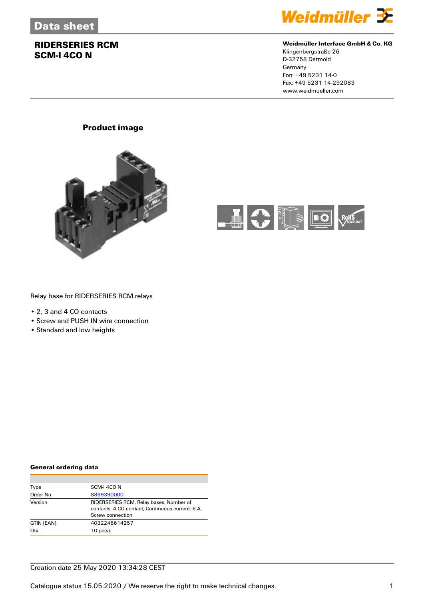

## **Weidmüller Interface GmbH & Co. KG**

Klingenbergstraße 26 D-32758 Detmold **Germany** Fon: +49 5231 14-0 Fax: +49 5231 14-292083 www.weidmueller.com

# **Product image**





## Relay base for RIDERSERIES RCM relays

- 2, 3 and 4 CO contacts
- Screw and PUSH IN wire connection
- Standard and low heights

#### **General ordering data**

| Type       | SCM-I 4CO N                                      |
|------------|--------------------------------------------------|
| Order No.  | 8869390000                                       |
| Version    | RIDERSERIES RCM, Relay bases, Number of          |
|            | contacts: 4 CO contact. Continuous current: 6 A. |
|            | Screw connection                                 |
| GTIN (EAN) | 4032248614257                                    |
| Qty.       | $10$ pc(s).                                      |

#### Creation date 25 May 2020 13:34:28 CEST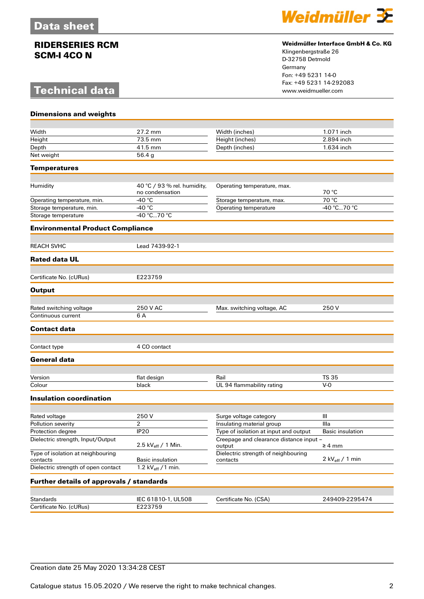# **Technical data**



## **Weidmüller Interface GmbH & Co. KG**

Klingenbergstraße 26 D-32758 Detmold Germany Fon: +49 5231 14-0 Fax: +49 5231 14-292083

| <b>Dimensions and weights</b>                 |                                                |                                                   |                           |
|-----------------------------------------------|------------------------------------------------|---------------------------------------------------|---------------------------|
| Width                                         | 27.2 mm                                        |                                                   | 1.071 inch                |
| Height                                        | 73.5 mm                                        | Width (inches)<br>Height (inches)                 | 2.894 inch                |
| Depth                                         | 41.5 mm                                        | Depth (inches)                                    | 1.634 inch                |
| Net weight                                    | 56.4g                                          |                                                   |                           |
| <b>Temperatures</b>                           |                                                |                                                   |                           |
|                                               |                                                |                                                   |                           |
| Humidity                                      | 40 °C / 93 % rel. humidity,<br>no condensation | Operating temperature, max.                       | 70 °C                     |
| Operating temperature, min.                   | -40 °C                                         | Storage temperature, max.                         | 70 °C                     |
| Storage temperature, min.                     | $-40 °C$                                       | Operating temperature                             | -40 °C70 °C               |
| Storage temperature                           | $-40 °C70 °C$                                  |                                                   |                           |
| <b>Environmental Product Compliance</b>       |                                                |                                                   |                           |
| <b>REACH SVHC</b>                             | Lead 7439-92-1                                 |                                                   |                           |
| <b>Rated data UL</b>                          |                                                |                                                   |                           |
|                                               |                                                |                                                   |                           |
| Certificate No. (cURus)                       | E223759                                        |                                                   |                           |
| <b>Output</b>                                 |                                                |                                                   |                           |
| Rated switching voltage                       | 250 V AC                                       |                                                   | 250 V                     |
| Continuous current                            | 6 A                                            | Max. switching voltage, AC                        |                           |
| <b>Contact data</b>                           |                                                |                                                   |                           |
|                                               |                                                |                                                   |                           |
| Contact type                                  | 4 CO contact                                   |                                                   |                           |
| <b>General data</b>                           |                                                |                                                   |                           |
|                                               |                                                |                                                   |                           |
| Version<br>Colour                             | flat design<br>black                           | Rail<br>UL 94 flammability rating                 | <b>TS 35</b><br>$V-0$     |
|                                               |                                                |                                                   |                           |
| <b>Insulation coordination</b>                |                                                |                                                   |                           |
| Rated voltage                                 | 250V                                           | Surge voltage category                            | Ш                         |
| <b>Pollution severity</b>                     | $\overline{2}$                                 | Insulating material group                         | Illa                      |
| Protection degree                             | IP <sub>20</sub>                               | Type of isolation at input and output             | Basic insulation          |
| Dielectric strength, Input/Output             | 2.5 kV <sub>eff</sub> / 1 Min.                 | Creepage and clearance distance input -<br>output | $\geq 4$ mm               |
| Type of isolation at neighbouring<br>contacts | Basic insulation                               | Dielectric strength of neighbouring<br>contacts   | 2 $kV_{\text{eff}}/1$ min |
| Dielectric strength of open contact           | 1.2 $kV_{\text{eff}}/1$ min.                   |                                                   |                           |
| Further details of approvals / standards      |                                                |                                                   |                           |
|                                               |                                                |                                                   |                           |
| <b>Standards</b>                              | IEC 61810-1, UL508                             | Certificate No. (CSA)                             | 249409-2295474            |
| Certificate No. (cURus)                       | E223759                                        |                                                   |                           |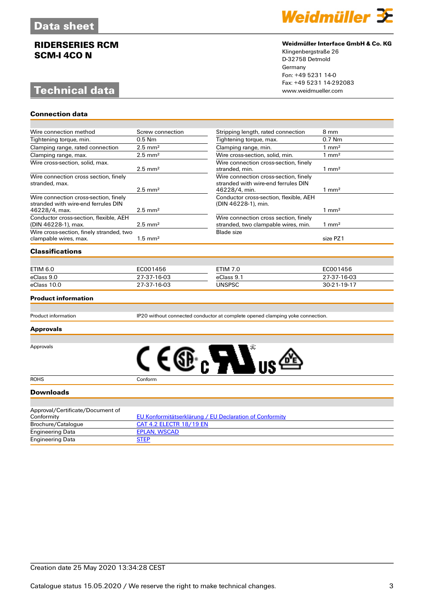# **Technical data**

**Connection data**



### **Weidmüller Interface GmbH & Co. KG**

Klingenbergstraße 26 D-32758 Detmold Germany Fon: +49 5231 14-0 Fax: +49 5231 14-292083

| Wire connection method                                                                        | Screw connection                                                              | Stripping length, rated connection                                                            | 8 mm             |  |
|-----------------------------------------------------------------------------------------------|-------------------------------------------------------------------------------|-----------------------------------------------------------------------------------------------|------------------|--|
| Tightening torque, min.                                                                       | $0.5$ Nm                                                                      | Tightening torque, max.                                                                       | $0.7$ Nm         |  |
| Clamping range, rated connection                                                              | $2.5$ mm <sup>2</sup>                                                         | Clamping range, min.                                                                          | $1 \text{ mm}^2$ |  |
| Clamping range, max.                                                                          | $2.5$ mm <sup>2</sup>                                                         | Wire cross-section, solid, min.                                                               | $1 \text{ mm}^2$ |  |
| Wire cross-section, solid, max.                                                               | $2.5$ mm <sup>2</sup>                                                         | Wire connection cross-section, finely<br>stranded, min.                                       | $1 \text{ mm}^2$ |  |
| Wire connection cross section, finely<br>stranded, max.                                       | $2.5 \text{ mm}^2$                                                            | Wire connection cross-section, finely<br>stranded with wire-end ferrules DIN<br>46228/4, min. | $1 \text{ mm}^2$ |  |
| Wire connection cross-section, finely<br>stranded with wire-end ferrules DIN<br>46228/4, max. | $2.5$ mm <sup>2</sup>                                                         | Conductor cross-section, flexible, AEH<br>(DIN 46228-1), min.                                 | $1 \text{ mm}^2$ |  |
| Conductor cross-section, flexible, AEH<br>(DIN 46228-1), max.                                 | $2.5$ mm <sup>2</sup>                                                         | Wire connection cross section, finely<br>stranded, two clampable wires, min.                  | $1 \text{ mm}^2$ |  |
| Wire cross-section, finely stranded, two<br>clampable wires, max.                             | $1.5$ mm <sup>2</sup>                                                         | <b>Blade</b> size                                                                             | size PZ1         |  |
| <b>Classifications</b>                                                                        |                                                                               |                                                                                               |                  |  |
|                                                                                               |                                                                               |                                                                                               |                  |  |
| <b>ETIM 6.0</b>                                                                               | EC001456                                                                      | <b>ETIM 7.0</b>                                                                               | EC001456         |  |
| eClass 9.0                                                                                    | 27-37-16-03                                                                   | eClass 9.1                                                                                    | 27-37-16-03      |  |
| eClass 10.0                                                                                   | 27-37-16-03                                                                   | <b>UNSPSC</b>                                                                                 | 30-21-19-17      |  |
| <b>Product information</b>                                                                    |                                                                               |                                                                                               |                  |  |
| <b>Product information</b>                                                                    | IP20 without connected conductor at complete opened clamping yoke connection. |                                                                                               |                  |  |
| <b>Approvals</b>                                                                              |                                                                               |                                                                                               |                  |  |
| Approvals                                                                                     | CE®RATI                                                                       |                                                                                               |                  |  |
| <b>ROHS</b>                                                                                   | Conform                                                                       |                                                                                               |                  |  |
| <b>Downloads</b>                                                                              |                                                                               |                                                                                               |                  |  |
| Approval/Certificate/Document of<br>Conformity                                                |                                                                               | <b>EU Konformitätserklärung / EU Declaration of Conformity</b>                                |                  |  |
| Brochure/Catalogue                                                                            | CAT 4.2 ELECTR 18/19 EN                                                       |                                                                                               |                  |  |
| <b>Engineering Data</b>                                                                       | <b>EPLAN, WSCAD</b>                                                           |                                                                                               |                  |  |
|                                                                                               |                                                                               |                                                                                               |                  |  |

Engineering Data EPLA<br>
Engineering Data STEP

Engineering Data